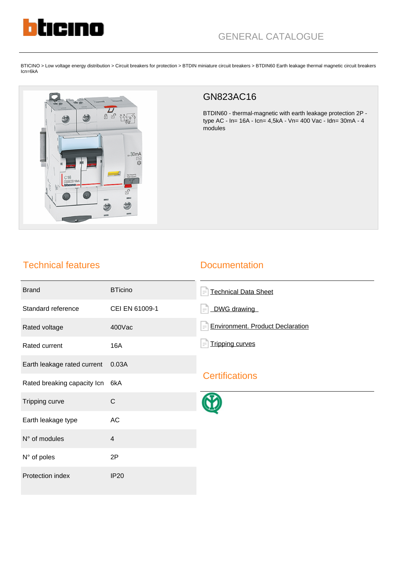

BTICINO > Low voltage energy distribution > Circuit breakers for protection > BTDIN miniature circuit breakers > BTDIN60 Earth leakage thermal magnetic circuit breakers Icn=6kA



## GN823AC16

BTDIN60 - thermal-magnetic with earth leakage protection 2P type AC - In= 16A - Icn= 4,5kA - Vn= 400 Vac - Idn= 30mA - 4 modules

## Technical features

## **Documentation**

| <b>Brand</b>                | <b>BTicino</b> | <b>Technical Data Sheet</b><br>$=$             |
|-----------------------------|----------------|------------------------------------------------|
| Standard reference          | CEI EN 61009-1 | DWG drawing                                    |
| Rated voltage               | 400Vac         | <b>Environment. Product Declaration</b><br>$=$ |
| Rated current               | <b>16A</b>     | <b>Tripping curves</b>                         |
| Earth leakage rated current | 0.03A          |                                                |
| Rated breaking capacity Icn | 6kA            | <b>Certifications</b>                          |
| Tripping curve              | $\mathsf{C}$   |                                                |
| Earth leakage type          | AC             |                                                |
| N° of modules               | $\overline{4}$ |                                                |
| N° of poles                 | 2P             |                                                |
| Protection index            | <b>IP20</b>    |                                                |